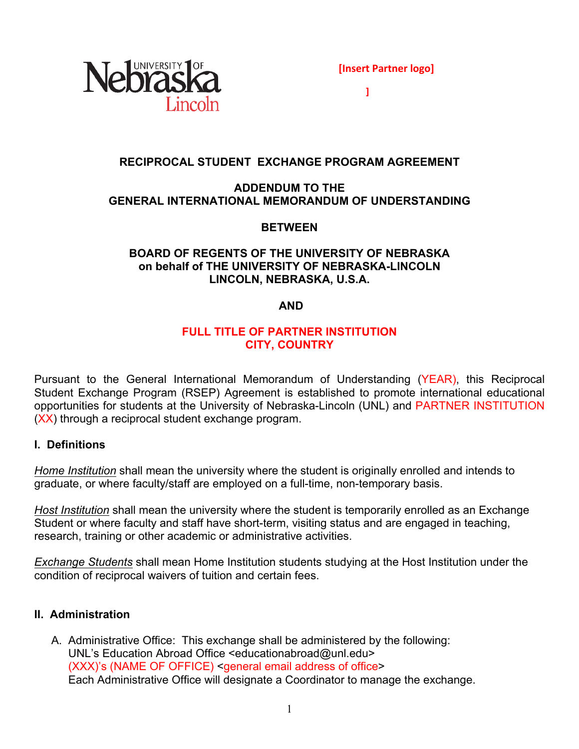

**]**

### **RECIPROCAL STUDENT EXCHANGE PROGRAM AGREEMENT**

#### **ADDENDUM TO THE GENERAL INTERNATIONAL MEMORANDUM OF UNDERSTANDING**

### **BETWEEN**

### **BOARD OF REGENTS OF THE UNIVERSITY OF NEBRASKA on behalf of THE UNIVERSITY OF NEBRASKA-LINCOLN LINCOLN, NEBRASKA, U.S.A.**

#### **AND**

### **FULL TITLE OF PARTNER INSTITUTION CITY, COUNTRY**

Pursuant to the General International Memorandum of Understanding (YEAR), this Reciprocal Student Exchange Program (RSEP) Agreement is established to promote international educational opportunities for students at the University of Nebraska-Lincoln (UNL) and PARTNER INSTITUTION (XX) through a reciprocal student exchange program.

#### **I. Definitions**

*Home Institution* shall mean the university where the student is originally enrolled and intends to graduate, or where faculty/staff are employed on a full-time, non-temporary basis.

*Host Institution* shall mean the university where the student is temporarily enrolled as an Exchange Student or where faculty and staff have short-term, visiting status and are engaged in teaching, research, training or other academic or administrative activities.

*Exchange Students* shall mean Home Institution students studying at the Host Institution under the condition of reciprocal waivers of tuition and certain fees.

#### **II. Administration**

A. Administrative Office: This exchange shall be administered by the following: UNL's Education Abroad Office <educationabroad@unl.edu> (XXX)'s (NAME OF OFFICE) <general email address of office> Each Administrative Office will designate a Coordinator to manage the exchange.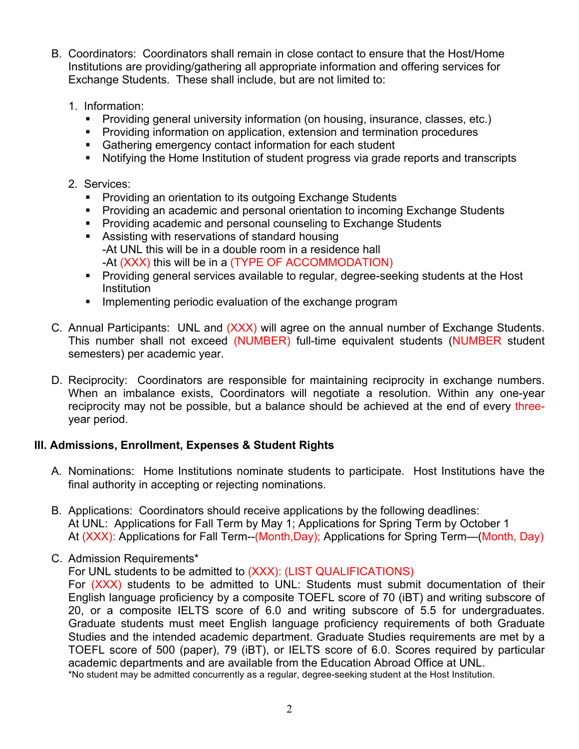- B. Coordinators: Coordinators shall remain in close contact to ensure that the Host/Home Institutions are providing/gathering all appropriate information and offering services for Exchange Students. These shall include, but are not limited to:
	- 1. Information:
		- Providing general university information (on housing, insurance, classes, etc.)
		- § Providing information on application, extension and termination procedures
		- Gathering emergency contact information for each student
		- Notifying the Home Institution of student progress via grade reports and transcripts
	- 2. Services:
		- Providing an orientation to its outgoing Exchange Students
		- § Providing an academic and personal orientation to incoming Exchange Students
		- Providing academic and personal counseling to Exchange Students
		- Assisting with reservations of standard housing -At UNL this will be in a double room in a residence hall -At (XXX) this will be in a (TYPE OF ACCOMMODATION)
		- Providing general services available to regular, degree-seeking students at the Host Institution
		- **Implementing periodic evaluation of the exchange program**
- C. Annual Participants: UNL and (XXX) will agree on the annual number of Exchange Students. This number shall not exceed (NUMBER) full-time equivalent students (NUMBER student semesters) per academic year.
- D. Reciprocity: Coordinators are responsible for maintaining reciprocity in exchange numbers. When an imbalance exists, Coordinators will negotiate a resolution. Within any one-year reciprocity may not be possible, but a balance should be achieved at the end of every threeyear period.

## **III. Admissions, Enrollment, Expenses & Student Rights**

- A. Nominations: Home Institutions nominate students to participate. Host Institutions have the final authority in accepting or rejecting nominations.
- B. Applications: Coordinators should receive applications by the following deadlines: At UNL: Applications for Fall Term by May 1; Applications for Spring Term by October 1 At (XXX): Applications for Fall Term--(Month,Day); Applications for Spring Term--(Month, Day)
- C. Admission Requirements\*

For UNL students to be admitted to (XXX): (LIST QUALIFICATIONS)

For (XXX) students to be admitted to UNL: Students must submit documentation of their English language proficiency by a composite TOEFL score of 70 (iBT) and writing subscore of 20, or a composite IELTS score of 6.0 and writing subscore of 5.5 for undergraduates. Graduate students must meet English language proficiency requirements of both Graduate Studies and the intended academic department. Graduate Studies requirements are met by a TOEFL score of 500 (paper), 79 (iBT), or IELTS score of 6.0. Scores required by particular academic departments and are available from the Education Abroad Office at UNL.

\*No student may be admitted concurrently as a regular, degree-seeking student at the Host Institution.